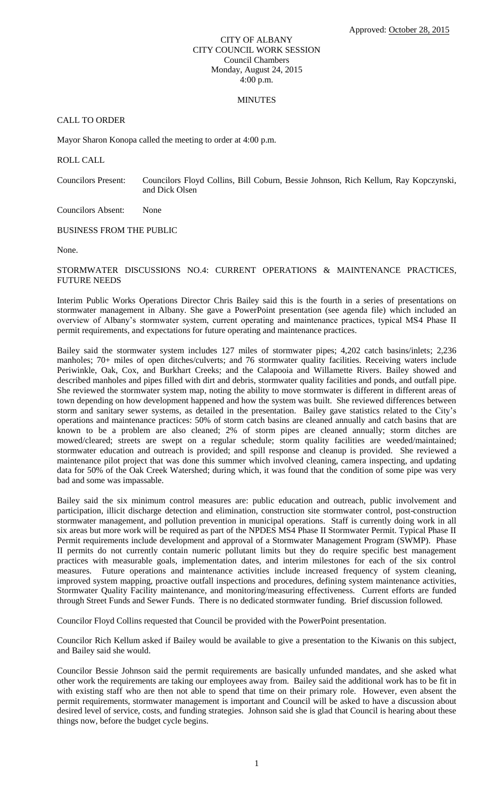### CITY OF ALBANY CITY COUNCIL WORK SESSION Council Chambers Monday, August 24, 2015 4:00 p.m.

### **MINUTES**

## CALL TO ORDER

Mayor Sharon Konopa called the meeting to order at 4:00 p.m.

ROLL CALL

Councilors Present: Councilors Floyd Collins, Bill Coburn, Bessie Johnson, Rich Kellum, Ray Kopczynski, and Dick Olsen

Councilors Absent: None

BUSINESS FROM THE PUBLIC

None.

# STORMWATER DISCUSSIONS NO.4: CURRENT OPERATIONS & MAINTENANCE PRACTICES, FUTURE NEEDS

Interim Public Works Operations Director Chris Bailey said this is the fourth in a series of presentations on stormwater management in Albany. She gave a PowerPoint presentation (see agenda file) which included an overview of Albany's stormwater system, current operating and maintenance practices, typical MS4 Phase II permit requirements, and expectations for future operating and maintenance practices.

Bailey said the stormwater system includes 127 miles of stormwater pipes; 4,202 catch basins/inlets; 2,236 manholes; 70+ miles of open ditches/culverts; and 76 stormwater quality facilities. Receiving waters include Periwinkle, Oak, Cox, and Burkhart Creeks; and the Calapooia and Willamette Rivers. Bailey showed and described manholes and pipes filled with dirt and debris, stormwater quality facilities and ponds, and outfall pipe. She reviewed the stormwater system map, noting the ability to move stormwater is different in different areas of town depending on how development happened and how the system was built. She reviewed differences between storm and sanitary sewer systems, as detailed in the presentation. Bailey gave statistics related to the City's operations and maintenance practices: 50% of storm catch basins are cleaned annually and catch basins that are known to be a problem are also cleaned; 2% of storm pipes are cleaned annually; storm ditches are mowed/cleared; streets are swept on a regular schedule; storm quality facilities are weeded/maintained; stormwater education and outreach is provided; and spill response and cleanup is provided. She reviewed a maintenance pilot project that was done this summer which involved cleaning, camera inspecting, and updating data for 50% of the Oak Creek Watershed; during which, it was found that the condition of some pipe was very bad and some was impassable.

Bailey said the six minimum control measures are: public education and outreach, public involvement and participation, illicit discharge detection and elimination, construction site stormwater control, post-construction stormwater management, and pollution prevention in municipal operations. Staff is currently doing work in all six areas but more work will be required as part of the NPDES MS4 Phase II Stormwater Permit. Typical Phase II Permit requirements include development and approval of a Stormwater Management Program (SWMP). Phase II permits do not currently contain numeric pollutant limits but they do require specific best management practices with measurable goals, implementation dates, and interim milestones for each of the six control measures. Future operations and maintenance activities include increased frequency of system cleaning, improved system mapping, proactive outfall inspections and procedures, defining system maintenance activities, Stormwater Quality Facility maintenance, and monitoring/measuring effectiveness. Current efforts are funded through Street Funds and Sewer Funds. There is no dedicated stormwater funding. Brief discussion followed.

Councilor Floyd Collins requested that Council be provided with the PowerPoint presentation.

Councilor Rich Kellum asked if Bailey would be available to give a presentation to the Kiwanis on this subject, and Bailey said she would.

Councilor Bessie Johnson said the permit requirements are basically unfunded mandates, and she asked what other work the requirements are taking our employees away from. Bailey said the additional work has to be fit in with existing staff who are then not able to spend that time on their primary role. However, even absent the permit requirements, stormwater management is important and Council will be asked to have a discussion about desired level of service, costs, and funding strategies. Johnson said she is glad that Council is hearing about these things now, before the budget cycle begins.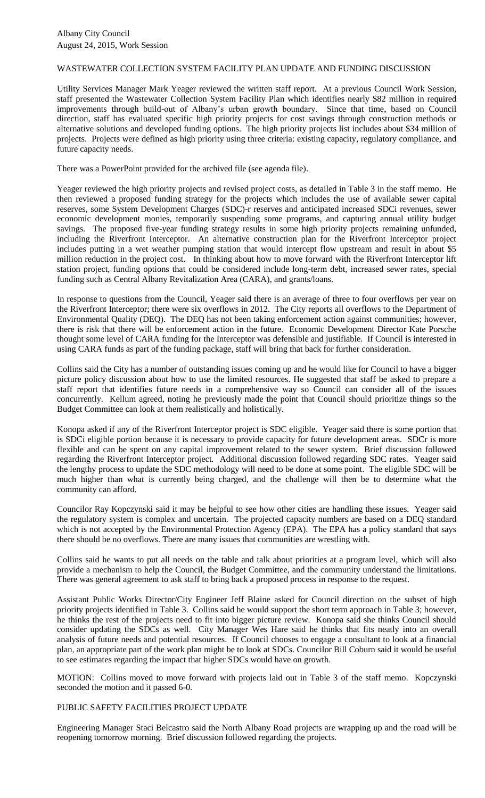#### WASTEWATER COLLECTION SYSTEM FACILITY PLAN UPDATE AND FUNDING DISCUSSION

Utility Services Manager Mark Yeager reviewed the written staff report. At a previous Council Work Session, staff presented the Wastewater Collection System Facility Plan which identifies nearly \$82 million in required improvements through build-out of Albany's urban growth boundary. Since that time, based on Council direction, staff has evaluated specific high priority projects for cost savings through construction methods or alternative solutions and developed funding options. The high priority projects list includes about \$34 million of projects. Projects were defined as high priority using three criteria: existing capacity, regulatory compliance, and future capacity needs.

There was a PowerPoint provided for the archived file (see agenda file).

Yeager reviewed the high priority projects and revised project costs, as detailed in Table 3 in the staff memo. He then reviewed a proposed funding strategy for the projects which includes the use of available sewer capital reserves, some System Development Charges (SDC)-r reserves and anticipated increased SDCi revenues, sewer economic development monies, temporarily suspending some programs, and capturing annual utility budget savings. The proposed five-year funding strategy results in some high priority projects remaining unfunded, including the Riverfront Interceptor. An alternative construction plan for the Riverfront Interceptor project includes putting in a wet weather pumping station that would intercept flow upstream and result in about \$5 million reduction in the project cost. In thinking about how to move forward with the Riverfront Interceptor lift station project, funding options that could be considered include long-term debt, increased sewer rates, special funding such as Central Albany Revitalization Area (CARA), and grants/loans.

In response to questions from the Council, Yeager said there is an average of three to four overflows per year on the Riverfront Interceptor; there were six overflows in 2012. The City reports all overflows to the Department of Environmental Quality (DEQ). The DEQ has not been taking enforcement action against communities; however, there is risk that there will be enforcement action in the future. Economic Development Director Kate Porsche thought some level of CARA funding for the Interceptor was defensible and justifiable. If Council is interested in using CARA funds as part of the funding package, staff will bring that back for further consideration.

Collins said the City has a number of outstanding issues coming up and he would like for Council to have a bigger picture policy discussion about how to use the limited resources. He suggested that staff be asked to prepare a staff report that identifies future needs in a comprehensive way so Council can consider all of the issues concurrently. Kellum agreed, noting he previously made the point that Council should prioritize things so the Budget Committee can look at them realistically and holistically.

Konopa asked if any of the Riverfront Interceptor project is SDC eligible. Yeager said there is some portion that is SDCi eligible portion because it is necessary to provide capacity for future development areas. SDCr is more flexible and can be spent on any capital improvement related to the sewer system. Brief discussion followed regarding the Riverfront Interceptor project. Additional discussion followed regarding SDC rates. Yeager said the lengthy process to update the SDC methodology will need to be done at some point. The eligible SDC will be much higher than what is currently being charged, and the challenge will then be to determine what the community can afford.

Councilor Ray Kopczynski said it may be helpful to see how other cities are handling these issues. Yeager said the regulatory system is complex and uncertain. The projected capacity numbers are based on a DEQ standard which is not accepted by the Environmental Protection Agency (EPA). The EPA has a policy standard that says there should be no overflows. There are many issues that communities are wrestling with.

Collins said he wants to put all needs on the table and talk about priorities at a program level, which will also provide a mechanism to help the Council, the Budget Committee, and the community understand the limitations. There was general agreement to ask staff to bring back a proposed process in response to the request.

Assistant Public Works Director/City Engineer Jeff Blaine asked for Council direction on the subset of high priority projects identified in Table 3. Collins said he would support the short term approach in Table 3; however, he thinks the rest of the projects need to fit into bigger picture review. Konopa said she thinks Council should consider updating the SDCs as well. City Manager Wes Hare said he thinks that fits neatly into an overall analysis of future needs and potential resources. If Council chooses to engage a consultant to look at a financial plan, an appropriate part of the work plan might be to look at SDCs. Councilor Bill Coburn said it would be useful to see estimates regarding the impact that higher SDCs would have on growth.

MOTION: Collins moved to move forward with projects laid out in Table 3 of the staff memo. Kopczynski seconded the motion and it passed 6-0.

# PUBLIC SAFETY FACILITIES PROJECT UPDATE

Engineering Manager Staci Belcastro said the North Albany Road projects are wrapping up and the road will be reopening tomorrow morning. Brief discussion followed regarding the projects.